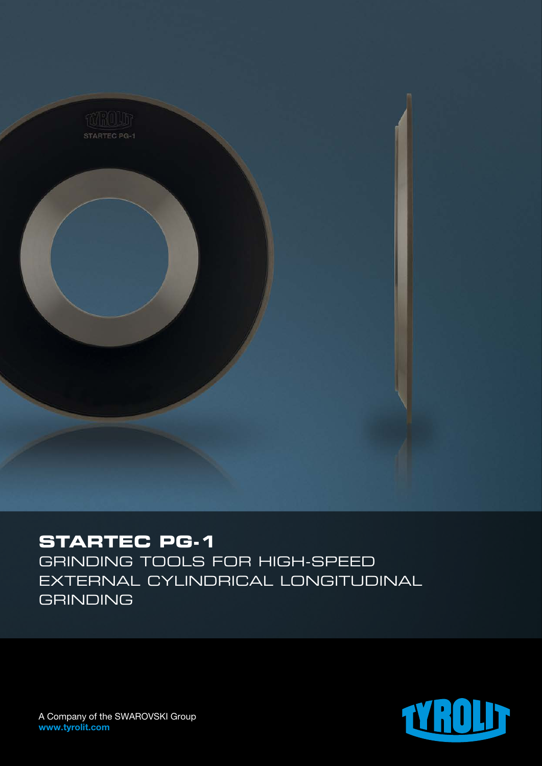

# **STARTEC PG-1**

Grinding tools for high-speed external cylindrical longitudinal **GRINDING**